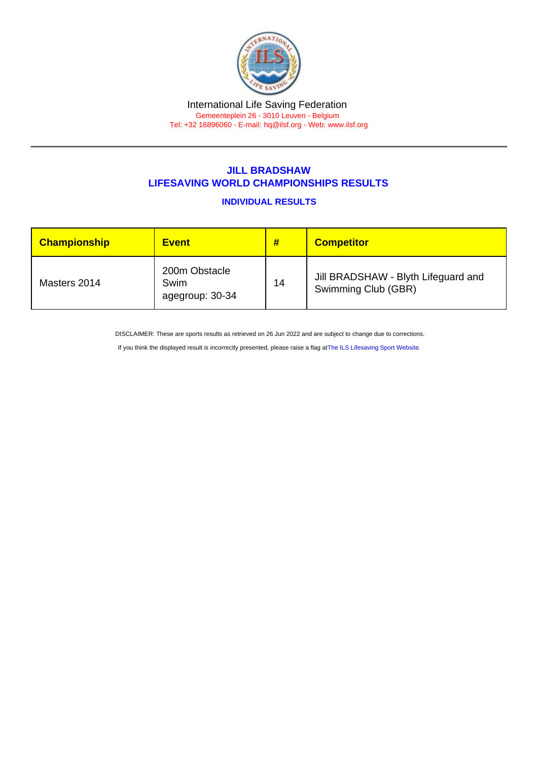#### International Life Saving Federation Gemeenteplein 26 - 3010 Leuven - Belgium

Tel: +32 16896060 - E-mail: [hq@ilsf.org](mailto:hq@ilsf.org) - Web: [www.ilsf.org](https://www.ilsf.org)

# JILL BRADSHAW LIFESAVING WORLD CHAMPIONSHIPS RESULTS

INDIVIDUAL RESULTS

| <b>Championship</b> | <b>Event</b>                             | #  | <b>Competitor</b>                                          |
|---------------------|------------------------------------------|----|------------------------------------------------------------|
| Masters 2014        | 200m Obstacle<br>Swim<br>agegroup: 30-34 | 14 | Jill BRADSHAW - Blyth Lifeguard and<br>Swimming Club (GBR) |

DISCLAIMER: These are sports results as retrieved on 26 Jun 2022 and are subject to change due to corrections.

If you think the displayed result is incorrectly presented, please raise a flag at [The ILS Lifesaving Sport Website.](https://sport.ilsf.org)